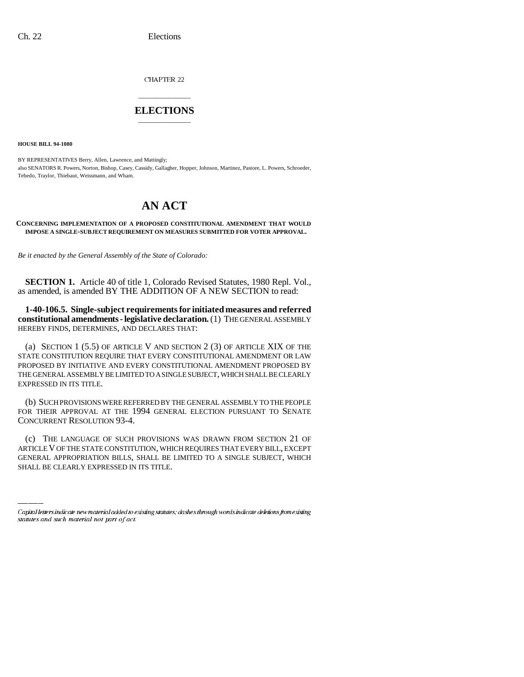CHAPTER 22

## \_\_\_\_\_\_\_\_\_\_\_\_\_\_\_ **ELECTIONS** \_\_\_\_\_\_\_\_\_\_\_\_\_\_\_

**HOUSE BILL 94-1080**

BY REPRESENTATIVES Berry, Allen, Lawrence, and Mattingly; also SENATORS R. Powers, Norton, Bishop, Casey, Cassidy, Gallagher, Hopper, Johnson, Martinez, Pastore, L. Powers, Schroeder, Tebedo, Traylor, Thiebaut, Weissmann, and Wham.

## **AN ACT**

## **CONCERNING IMPLEMENTATION OF A PROPOSED CONSTITUTIONAL AMENDMENT THAT WOULD IMPOSE A SINGLE-SUBJECT REQUIREMENT ON MEASURES SUBMITTED FOR VOTER APPROVAL.**

*Be it enacted by the General Assembly of the State of Colorado:*

**SECTION 1.** Article 40 of title 1, Colorado Revised Statutes, 1980 Repl. Vol., as amended, is amended BY THE ADDITION OF A NEW SECTION to read:

**1-40-106.5. Single-subject requirements for initiated measures and referred constitutional amendments - legislative declaration.** (1) THE GENERAL ASSEMBLY HEREBY FINDS, DETERMINES, AND DECLARES THAT:

(a) SECTION 1 (5.5) OF ARTICLE V AND SECTION 2 (3) OF ARTICLE XIX OF THE STATE CONSTITUTION REQUIRE THAT EVERY CONSTITUTIONAL AMENDMENT OR LAW PROPOSED BY INITIATIVE AND EVERY CONSTITUTIONAL AMENDMENT PROPOSED BY THE GENERAL ASSEMBLY BE LIMITED TO A SINGLE SUBJECT, WHICH SHALL BE CLEARLY EXPRESSED IN ITS TITLE.

(b) SUCH PROVISIONS WERE REFERRED BY THE GENERAL ASSEMBLY TO THE PEOPLE FOR THEIR APPROVAL AT THE 1994 GENERAL ELECTION PURSUANT TO SENATE CONCURRENT RESOLUTION 93-4.

(c) THE LANGUAGE OF SUCH PROVISIONS WAS DRAWN FROM SECTION 21 OF ARTICLE V OF THE STATE CONSTITUTION, WHICH REQUIRES THAT EVERY BILL, EXCEPT GENERAL APPROPRIATION BILLS, SHALL BE LIMITED TO A SINGLE SUBJECT, WHICH SHALL BE CLEARLY EXPRESSED IN ITS TITLE.

Capital letters indicate new material added to existing statutes; dashes through words indicate deletions from existing statutes and such material not part of act.